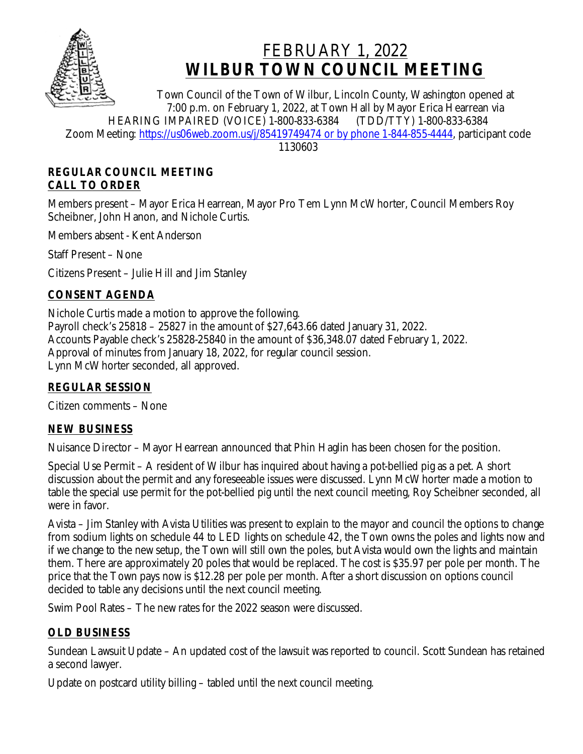

# FEBRUARY 1, 2022 **WILBUR TOWN COUNCIL MEETING**

Town Council of the Town of Wilbur, Lincoln County, Washington opened at 7:00 p.m. on February 1, 2022, at Town Hall by Mayor Erica Hearrean via<br>IMPAIRED (VOICE) 1-800-833-6384 (TDD/TTY) 1-800-833-6384 HEARING IMPAIRED (VOICE) 1-800-833-6384 Zoom Meeting: [https://us06web.zoom.us/j/85419749474 or by phone 1-844-855-4444,](https://us06web.zoom.us/j/85419749474 or by phone 1-844-855-4444) participant code

1130603

### **REGULAR COUNCIL MEETING CALL TO ORDER**

Members present – Mayor Erica Hearrean, Mayor Pro Tem Lynn McWhorter, Council Members Roy Scheibner, John Hanon, and Nichole Curtis.

Members absent - Kent Anderson

Staff Present – None

Citizens Present – Julie Hill and Jim Stanley

# **CONSENT AGENDA**

Nichole Curtis made a motion to approve the following. Payroll check's 25818 – 25827 in the amount of \$27,643.66 dated January 31, 2022. Accounts Payable check's 25828-25840 in the amount of \$36,348.07 dated February 1, 2022. Approval of minutes from January 18, 2022, for regular council session. Lynn McWhorter seconded, all approved.

# **REGULAR SESSION**

Citizen comments – None

# **NEW BUSINESS**

Nuisance Director – Mayor Hearrean announced that Phin Haglin has been chosen for the position.

Special Use Permit – A resident of Wilbur has inquired about having a pot-bellied pig as a pet. A short discussion about the permit and any foreseeable issues were discussed. Lynn McWhorter made a motion to table the special use permit for the pot-bellied pig until the next council meeting, Roy Scheibner seconded, all were in favor.

Avista – Jim Stanley with Avista Utilities was present to explain to the mayor and council the options to change from sodium lights on schedule 44 to LED lights on schedule 42, the Town owns the poles and lights now and if we change to the new setup, the Town will still own the poles, but Avista would own the lights and maintain them. There are approximately 20 poles that would be replaced. The cost is \$35.97 per pole per month. The price that the Town pays now is \$12.28 per pole per month. After a short discussion on options council decided to table any decisions until the next council meeting.

Swim Pool Rates – The new rates for the 2022 season were discussed.

# **OLD BUSINESS**

Sundean Lawsuit Update – An updated cost of the lawsuit was reported to council. Scott Sundean has retained a second lawyer.

Update on postcard utility billing – tabled until the next council meeting.